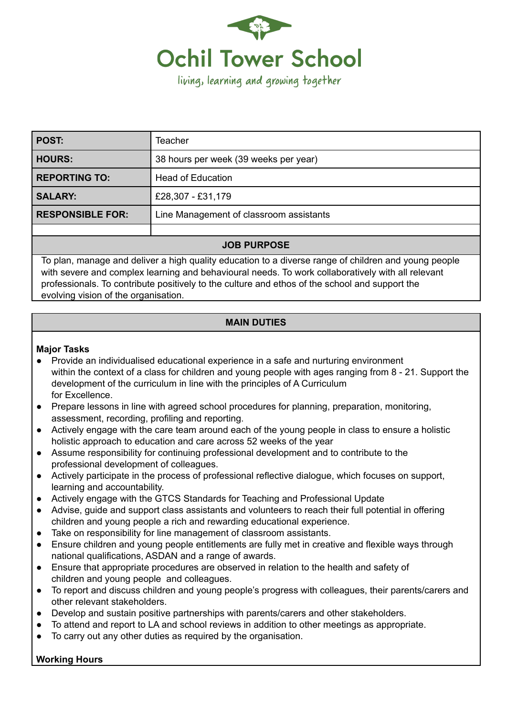

| POST:                   | Teacher                                 |
|-------------------------|-----------------------------------------|
| HOURS:                  | 38 hours per week (39 weeks per year)   |
| <b>REPORTING TO:</b>    | <b>Head of Education</b>                |
| <b>SALARY:</b>          | £28,307 - £31,179                       |
| <b>RESPONSIBLE FOR:</b> | Line Management of classroom assistants |
|                         |                                         |

### **JOB PURPOSE**

To plan, manage and deliver a high quality education to a diverse range of children and young people with severe and complex learning and behavioural needs. To work collaboratively with all relevant professionals. To contribute positively to the culture and ethos of the school and support the evolving vision of the organisation.

## **MAIN DUTIES**

### **Major Tasks**

- Provide an individualised educational experience in a safe and nurturing environment within the context of a class for children and young people with ages ranging from 8 - 21. Support the development of the curriculum in line with the principles of A Curriculum for Excellence.
- Prepare lessons in line with agreed school procedures for planning, preparation, monitoring, assessment, recording, profiling and reporting.
- Actively engage with the care team around each of the young people in class to ensure a holistic holistic approach to education and care across 52 weeks of the year
- Assume responsibility for continuing professional development and to contribute to the professional development of colleagues.
- Actively participate in the process of professional reflective dialogue, which focuses on support, learning and accountability.
- Actively engage with the GTCS Standards for Teaching and Professional Update
- Advise, guide and support class assistants and volunteers to reach their full potential in offering children and young people a rich and rewarding educational experience.
- Take on responsibility for line management of classroom assistants.
- Ensure children and young people entitlements are fully met in creative and flexible ways through national qualifications, ASDAN and a range of awards.
- Ensure that appropriate procedures are observed in relation to the health and safety of children and young people and colleagues.
- To report and discuss children and young people's progress with colleagues, their parents/carers and other relevant stakeholders.
- Develop and sustain positive partnerships with parents/carers and other stakeholders.
- To attend and report to LA and school reviews in addition to other meetings as appropriate.
- To carry out any other duties as required by the organisation.

# **Working Hours**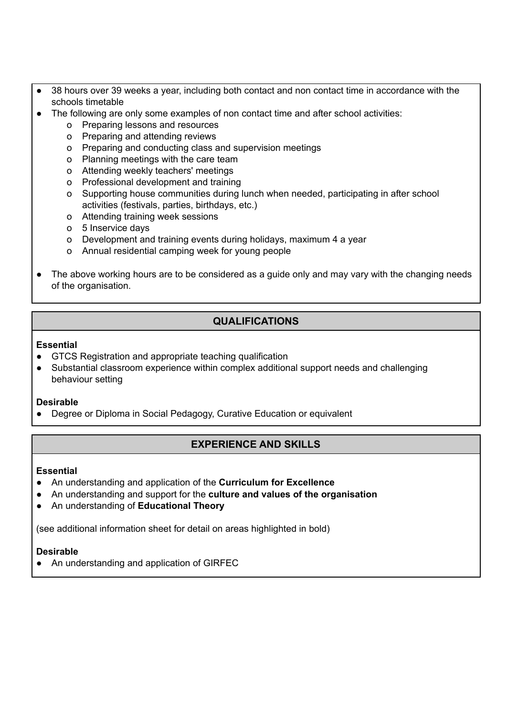- 38 hours over 39 weeks a year, including both contact and non contact time in accordance with the schools timetable
- The following are only some examples of non contact time and after school activities:
	- o Preparing lessons and resources
	- o Preparing and attending reviews
	- o Preparing and conducting class and supervision meetings
	- o Planning meetings with the care team
	- o Attending weekly teachers' meetings
	- o Professional development and training
	- o Supporting house communities during lunch when needed, participating in after school activities (festivals, parties, birthdays, etc.)
	- o Attending training week sessions
	- o 5 Inservice days
	- o Development and training events during holidays, maximum 4 a year
	- o Annual residential camping week for young people
- The above working hours are to be considered as a guide only and may vary with the changing needs of the organisation.

# **QUALIFICATIONS**

#### **Essential**

- GTCS Registration and appropriate teaching qualification
- Substantial classroom experience within complex additional support needs and challenging behaviour setting

### **Desirable**

● Degree or Diploma in Social Pedagogy, Curative Education or equivalent

# **EXPERIENCE AND SKILLS**

### **Essential**

- An understanding and application of the **Curriculum for Excellence**
- An understanding and support for the **culture and values of the organisation**
- An understanding of **Educational Theory**

(see additional information sheet for detail on areas highlighted in bold)

### **Desirable**

● An understanding and application of GIRFEC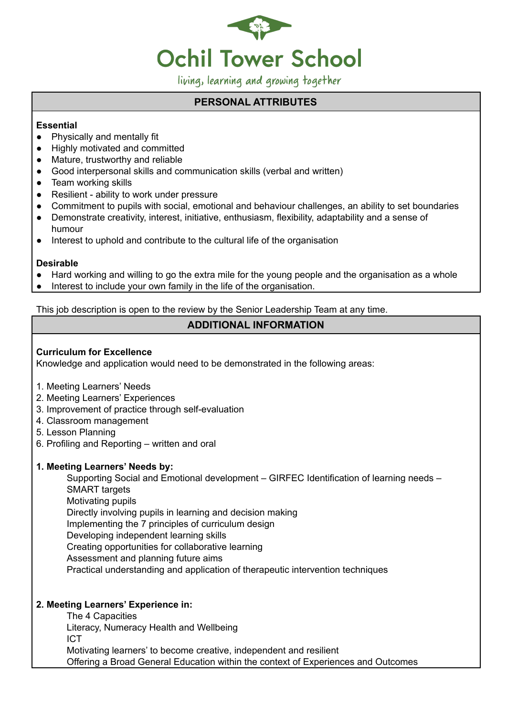

living, learning and growing together

## **PERSONAL ATTRIBUTES**

### **Essential**

- Physically and mentally fit
- Highly motivated and committed
- Mature, trustworthy and reliable
- Good interpersonal skills and communication skills (verbal and written)
- Team working skills
- Resilient ability to work under pressure
- Commitment to pupils with social, emotional and behaviour challenges, an ability to set boundaries
- Demonstrate creativity, interest, initiative, enthusiasm, flexibility, adaptability and a sense of humour
- Interest to uphold and contribute to the cultural life of the organisation

### **Desirable**

- Hard working and willing to go the extra mile for the young people and the organisation as a whole
- Interest to include your own family in the life of the organisation.

This job description is open to the review by the Senior Leadership Team at any time.

# **ADDITIONAL INFORMATION**

## **Curriculum for Excellence**

Knowledge and application would need to be demonstrated in the following areas:

- 1. Meeting Learners' Needs
- 2. Meeting Learners' Experiences
- 3. Improvement of practice through self-evaluation
- 4. Classroom management
- 5. Lesson Planning
- 6. Profiling and Reporting written and oral

## **1. Meeting Learners' Needs by:**

Supporting Social and Emotional development – GIRFEC Identification of learning needs – SMART targets Motivating pupils Directly involving pupils in learning and decision making Implementing the 7 principles of curriculum design Developing independent learning skills Creating opportunities for collaborative learning Assessment and planning future aims Practical understanding and application of therapeutic intervention techniques

## **2. Meeting Learners' Experience in:**

- The 4 Capacities
- Literacy, Numeracy Health and Wellbeing
- ICT
- Motivating learners' to become creative, independent and resilient Offering a Broad General Education within the context of Experiences and Outcomes